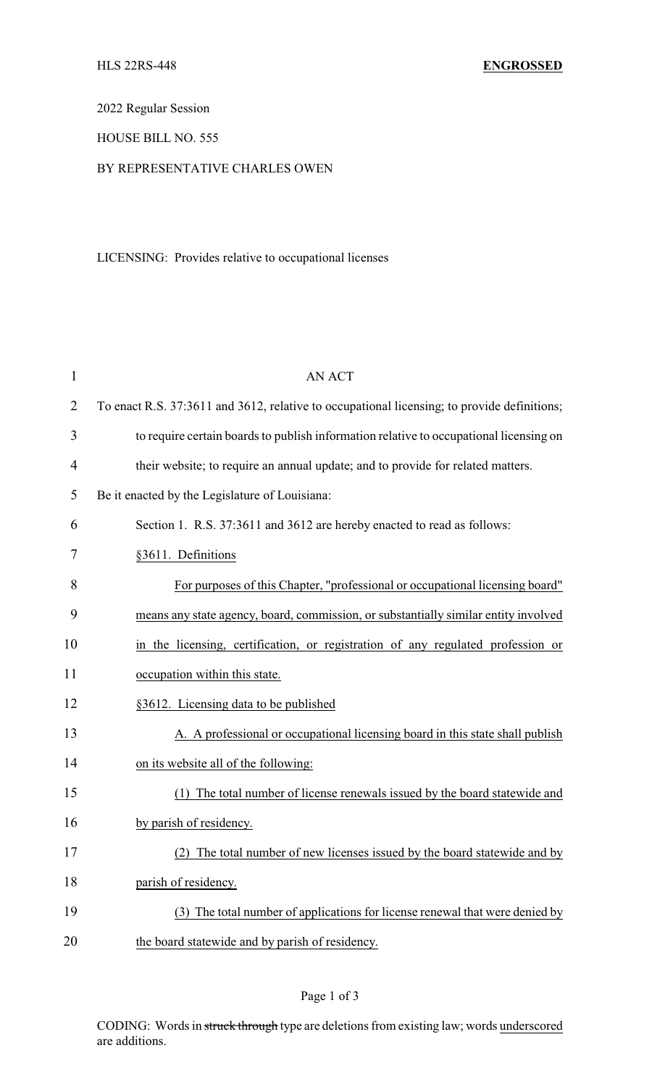2022 Regular Session

## HOUSE BILL NO. 555

### BY REPRESENTATIVE CHARLES OWEN

## LICENSING: Provides relative to occupational licenses

| $\mathbf 1$    | <b>AN ACT</b>                                                                               |
|----------------|---------------------------------------------------------------------------------------------|
| $\overline{2}$ | To enact R.S. 37:3611 and 3612, relative to occupational licensing; to provide definitions; |
| 3              | to require certain boards to publish information relative to occupational licensing on      |
| 4              | their website; to require an annual update; and to provide for related matters.             |
| 5              | Be it enacted by the Legislature of Louisiana:                                              |
| 6              | Section 1. R.S. 37:3611 and 3612 are hereby enacted to read as follows:                     |
| 7              | §3611. Definitions                                                                          |
| 8              | For purposes of this Chapter, "professional or occupational licensing board"                |
| 9              | means any state agency, board, commission, or substantially similar entity involved         |
| 10             | in the licensing, certification, or registration of any regulated profession or             |
| 11             | occupation within this state.                                                               |
| 12             | §3612. Licensing data to be published                                                       |
| 13             | A. A professional or occupational licensing board in this state shall publish               |
| 14             | on its website all of the following:                                                        |
| 15             | The total number of license renewals issued by the board statewide and                      |
| 16             | by parish of residency.                                                                     |
| 17             | (2) The total number of new licenses issued by the board statewide and by                   |
| 18             | parish of residency.                                                                        |
| 19             | (3) The total number of applications for license renewal that were denied by                |
| 20             | the board statewide and by parish of residency.                                             |

# Page 1 of 3

CODING: Words in struck through type are deletions from existing law; words underscored are additions.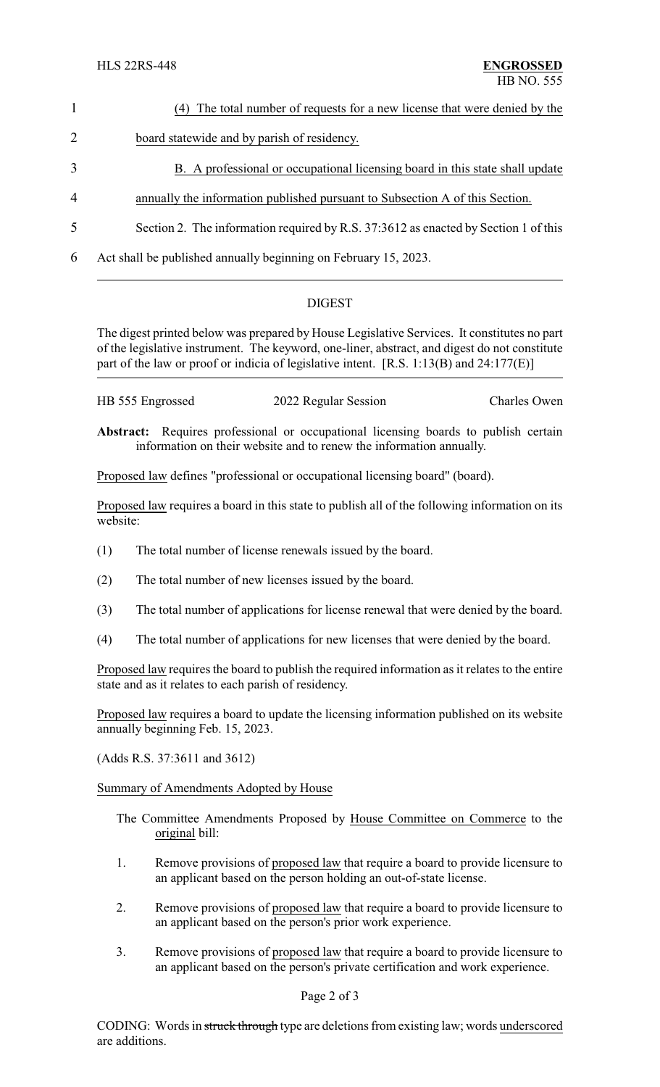|                | (4) The total number of requests for a new license that were denied by the          |
|----------------|-------------------------------------------------------------------------------------|
| 2              | board statewide and by parish of residency.                                         |
| 3              | B. A professional or occupational licensing board in this state shall update        |
| $\overline{4}$ | annually the information published pursuant to Subsection A of this Section.        |
| 5              | Section 2. The information required by R.S. 37:3612 as enacted by Section 1 of this |
| 6              | Act shall be published annually beginning on February 15, 2023.                     |

## DIGEST

The digest printed below was prepared by House Legislative Services. It constitutes no part of the legislative instrument. The keyword, one-liner, abstract, and digest do not constitute part of the law or proof or indicia of legislative intent. [R.S. 1:13(B) and 24:177(E)]

| HB 555 Engrossed | 2022 Regular Session | Charles Owen |
|------------------|----------------------|--------------|
|                  |                      |              |

**Abstract:** Requires professional or occupational licensing boards to publish certain information on their website and to renew the information annually.

Proposed law defines "professional or occupational licensing board" (board).

Proposed law requires a board in this state to publish all of the following information on its website:

- (1) The total number of license renewals issued by the board.
- (2) The total number of new licenses issued by the board.
- (3) The total number of applications for license renewal that were denied by the board.
- (4) The total number of applications for new licenses that were denied by the board.

Proposed law requires the board to publish the required information as it relates to the entire state and as it relates to each parish of residency.

Proposed law requires a board to update the licensing information published on its website annually beginning Feb. 15, 2023.

(Adds R.S. 37:3611 and 3612)

Summary of Amendments Adopted by House

- The Committee Amendments Proposed by House Committee on Commerce to the original bill:
- 1. Remove provisions of proposed law that require a board to provide licensure to an applicant based on the person holding an out-of-state license.
- 2. Remove provisions of proposed law that require a board to provide licensure to an applicant based on the person's prior work experience.
- 3. Remove provisions of proposed law that require a board to provide licensure to an applicant based on the person's private certification and work experience.